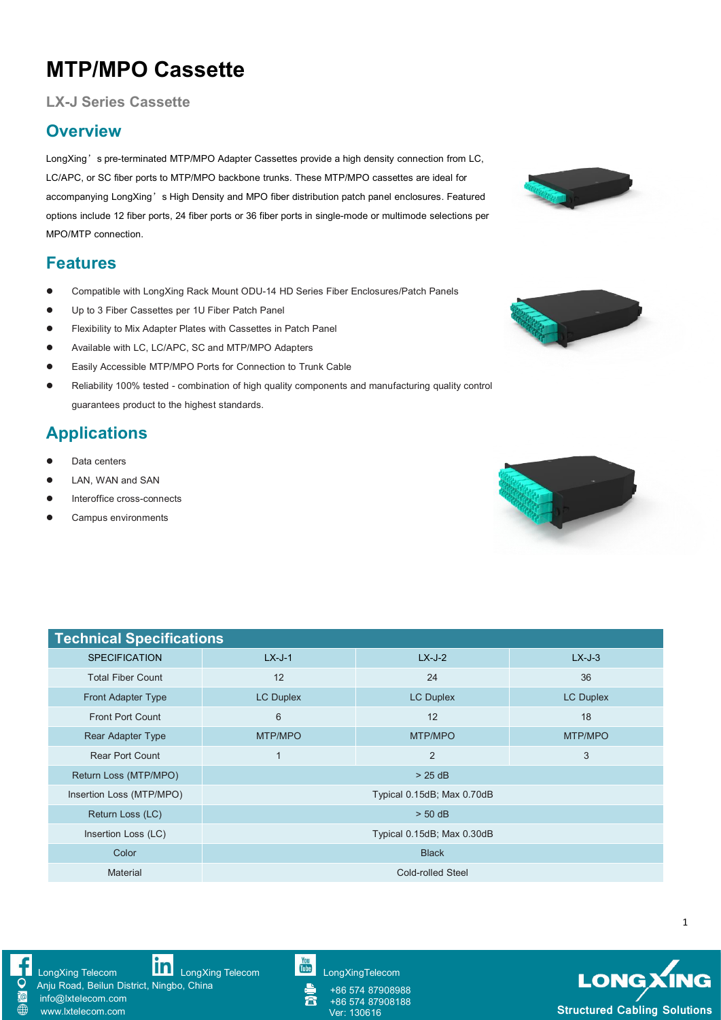## **MTP/MPO Cassette**

#### **LX-J Series Cassette**

#### **Overview**

LongXing's pre-terminated MTP/MPO Adapter Cassettes provide a high density connection from LC, LC/APC, or SC fiber ports to MTP/MPO backbone trunks. These MTP/MPO cassettes are ideal for accompanying LongXing's High Density and MPO fiber distribution patch panel enclosures. Featured options include 12 fiber ports, 24 fiber ports or 36 fiber ports in single-mode or multimode selections per MPO/MTP connection.

#### **Features**

- Compatible with LongXing Rack Mount ODU-14 HD Series Fiber Enclosures/Patch Panels
- Up to 3 Fiber Cassettes per 1U Fiber Patch Panel
- Flexibility to Mix Adapter Plates with Cassettes in Patch Panel
- Available with LC, LC/APC, SC and MTP/MPO Adapters
- EasilyAccessible MTP/MPO Ports for Connection to Trunk Cable
- Reliability 100% tested combination of high quality components and manufacturing quality control guarantees product to the highest standards.

## **Applications**

- Data centers
- LAN, WAN and SAN
- $\bullet$  Interoffice cross-connects
- Campus environments

| <b>Technical Specifications</b> |                            |                  |                  |  |  |  |  |
|---------------------------------|----------------------------|------------------|------------------|--|--|--|--|
| <b>SPECIFICATION</b>            | $LX-J-1$                   | $LX-J-2$         | $LX-J-3$         |  |  |  |  |
| <b>Total Fiber Count</b>        | 12                         | 24               | 36               |  |  |  |  |
| Front Adapter Type              | LC Duplex                  | <b>LC Duplex</b> | <b>LC Duplex</b> |  |  |  |  |
| <b>Front Port Count</b>         | 6                          | 12               | 18               |  |  |  |  |
| Rear Adapter Type               | MTP/MPO                    | MTP/MPO          | MTP/MPO          |  |  |  |  |
| <b>Rear Port Count</b>          | $\mathbf{1}$               | $\overline{2}$   | 3                |  |  |  |  |
| Return Loss (MTP/MPO)           | $> 25$ dB                  |                  |                  |  |  |  |  |
| Insertion Loss (MTP/MPO)        | Typical 0.15dB; Max 0.70dB |                  |                  |  |  |  |  |
| Return Loss (LC)                | $> 50$ dB                  |                  |                  |  |  |  |  |
| Insertion Loss (LC)             | Typical 0.15dB; Max 0.30dB |                  |                  |  |  |  |  |
| Color                           | <b>Black</b>               |                  |                  |  |  |  |  |
| Material                        | Cold-rolled Steel          |                  |                  |  |  |  |  |







[LongXing](https://www.linkedin.com/company/longxing-telecom) Telecom **LongXing Telecom** LongXing Telecom [LongXingTelecom](https://www.youtube.com/user/LongXingTelecom)

Anju Road, Beilun District, Ningbo, China

info@lxtelecom.com [www.lxtelecom.com](http://www.lxtelecom.com/)

+86 574 87908988  $\bar{\mathbf{a}}$ +86 574 87908188



1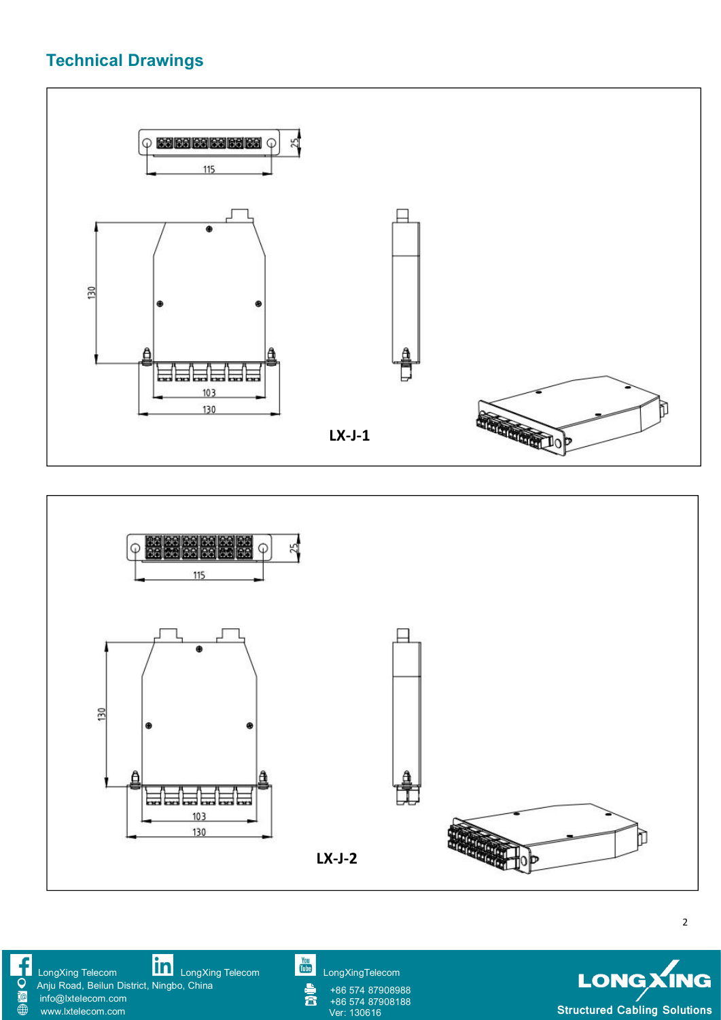## **Technical Drawings**





2

[LongXing](https://www.linkedin.com/company/longxing-telecom) Telecom **LILLI** LongXing Telecom Lilling [LongXingTelecom](https://www.youtube.com/user/LongXingTelecom) and CongXingTelecom Anju Road, Beilun District, Ningbo, China **F@** info@lxtelecom.com  $\overline{\oplus}$ [www.lxtelecom.com](http://www.lxtelecom.com/)

 $\mathbf{a}$ 

+86 574 87908988

+86 574 87908188

LONGXING **Structured Cabling Solutions**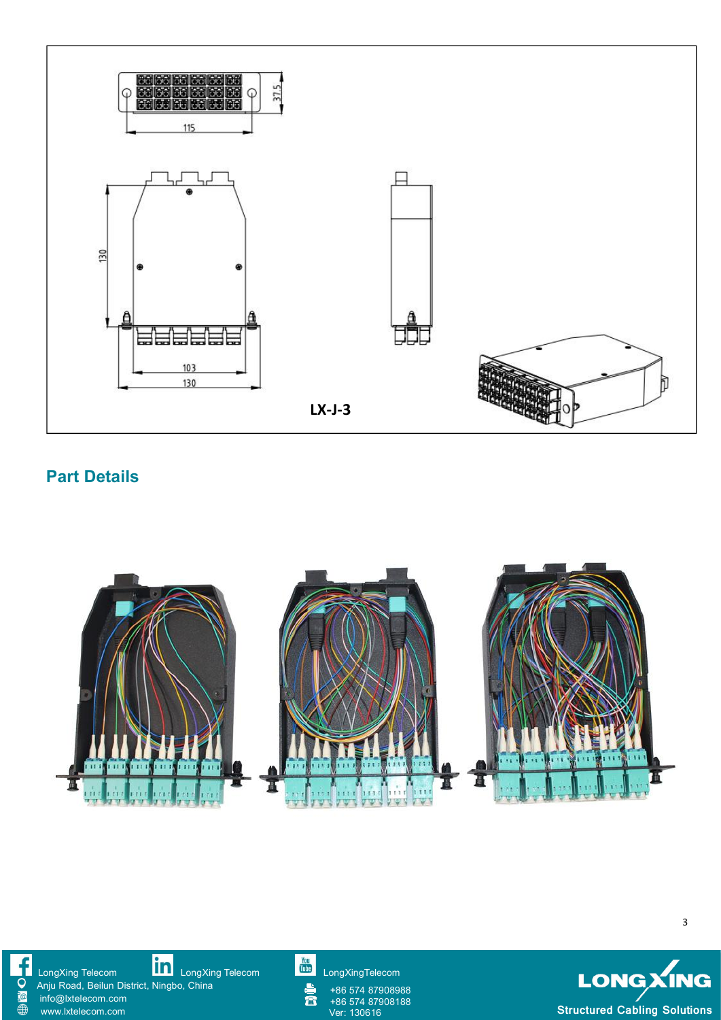

### **Part Details**



**F@**  $\overline{\oplus}$ 

[LongXing](https://www.linkedin.com/company/longxing-telecom) Telecom **LILLI** LongXing Telecom Lilling [LongXingTelecom](https://www.youtube.com/user/LongXingTelecom) and CongXingTelecom

Anju Road, Beilun District, Ningbo, China info@lxtelecom.com

[www.lxtelecom.com](http://www.lxtelecom.com/)

 $\mathbf{r}$ 

+86 574 87908988 +86 574 87908988<br>+86 574 87908188<br>Ver: 130616



3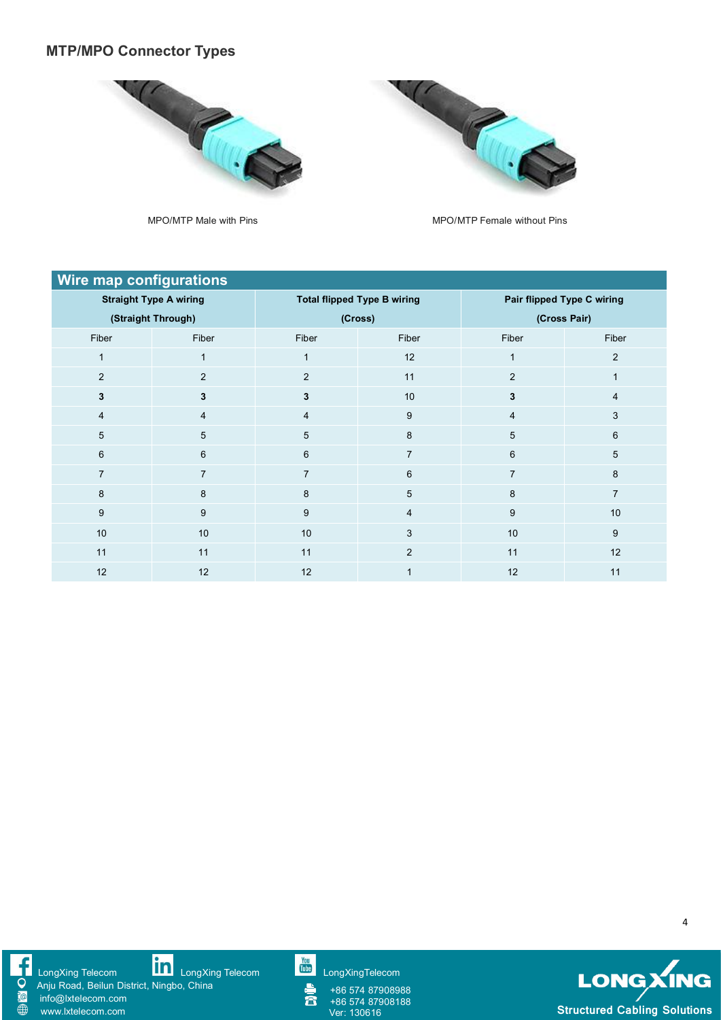#### **MTP/MPO Connector Types**





MPO/MTP Male with Pins MPO/MTP Female without Pins

| <b>Wire map configurations</b> |                |                                    |                         |                            |                |  |  |
|--------------------------------|----------------|------------------------------------|-------------------------|----------------------------|----------------|--|--|
| <b>Straight Type A wiring</b>  |                | <b>Total flipped Type B wiring</b> |                         | Pair flipped Type C wiring |                |  |  |
| (Straight Through)             |                | (Cross)                            |                         | (Cross Pair)               |                |  |  |
| Fiber                          | Fiber          | Fiber                              | Fiber                   | Fiber                      | Fiber          |  |  |
|                                |                | 1                                  | 12                      |                            | $\overline{2}$ |  |  |
| $\overline{2}$                 | $\overline{2}$ | $\overline{2}$                     | 11                      | $\overline{2}$             |                |  |  |
| $\mathbf{3}$                   | 3              | $\mathbf{3}$                       | 10                      | 3                          | $\overline{4}$ |  |  |
| 4                              | 4              | 4                                  | $9\,$                   | $\overline{4}$             | 3              |  |  |
| 5                              | 5              | 5                                  | 8                       | 5                          | 6              |  |  |
| $6\phantom{1}$                 | 6              | 6                                  | $\overline{7}$          | $6\phantom{1}$             | 5              |  |  |
|                                |                | 7                                  | 6                       |                            | 8              |  |  |
| 8                              | 8              | 8                                  | $5\phantom{.0}$         | 8                          | $\overline{7}$ |  |  |
| 9                              | 9              | 9                                  | $\overline{\mathbf{4}}$ | 9                          | 10             |  |  |
| 10                             | 10             | 10                                 | 3                       | 10                         | 9              |  |  |
| 11                             | 11             | 11                                 | 2                       | 11                         | 12             |  |  |
| 12                             | 12             | 12                                 |                         | 12                         | 11             |  |  |



[LongXing](https://www.linkedin.com/company/longxing-telecom) Telecom **LILLI** LongXing Telecom Lilling [LongXingTelecom](https://www.youtube.com/user/LongXingTelecom) and CongXingTelecom

Anju Road, Beilun District, Ningbo, China info@lxtelecom.com

[www.lxtelecom.com](http://www.lxtelecom.com/)

+86 574 87908988 +86 574 87908188<br>Ver: 130616



4